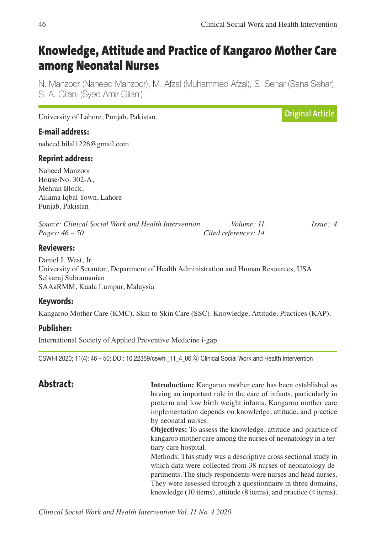# **Knowledge, Attitude and Practice of Kangaroo Mother Care among Neonatal Nurses**

N. Manzoor (Naheed Manzoor), M. Afzal (Muhammed Afzal), S. Sehar (Sana Sehar), S. A. Gilani (Syed Amir Gilani)

| <b>E-mail address:</b><br>naheed.bilal1226@gmail.com                                                 |                                    |          |
|------------------------------------------------------------------------------------------------------|------------------------------------|----------|
| <b>Reprint address:</b>                                                                              |                                    |          |
| Naheed Manzoor<br>House/No. 302-A,<br>Mehran Block,<br>Allama Iqbal Town, Lahore<br>Punjab, Pakistan |                                    |          |
| Source: Clinical Social Work and Health Intervention<br>Pages: $46 - 50$                             | Volume: 11<br>Cited references: 14 | Issue: 4 |
| <b>Reviewers:</b>                                                                                    |                                    |          |
| Daniel I West Ir                                                                                     |                                    |          |

Daniel J. West, Jr University of Scranton, Department of Health Administration and Human Resources, USA Selvaraj Subramanian SAAaRMM, Kuala Lumpur, Malaysia

# **Keywords:**

Kangaroo Mother Care (KMC). Skin to Skin Care (SSC). Knowledge. Attitude. Practices (KAP).

# **Publisher:**

International Society of Applied Preventive Medicine i-gap

CSWHI 2020; 11(4): 46 – 50; DOI: 10.22359/cswhi\_11\_4\_06 ⓒ Clinical Social Work and Health Intervention

**Abstract: Introduction:** Kangaroo mother care has been established as having an important role in the care of infants, particularly in preterm and low birth weight infants. Kangaroo mother care implementation depends on knowledge, attitude, and practice by neonatal nurses.

> **Objectives:** To assess the knowledge, attitude and practice of kangaroo mother care among the nurses of neonatology in a tertiary care hospital.

> Methods: This study was a descriptive cross sectional study in which data were collected from 38 nurses of neonatology departments. The study respondents were nurses and head nurses. They were assessed through a questionnaire in three domains, knowledge (10 items), attitude (8 items), and practice (4 items).

*Clinical Social Work and Health Intervention Vol. 11 No. 4 2020*

University of Lahore, Punjab, Pakistan.

**Original Article**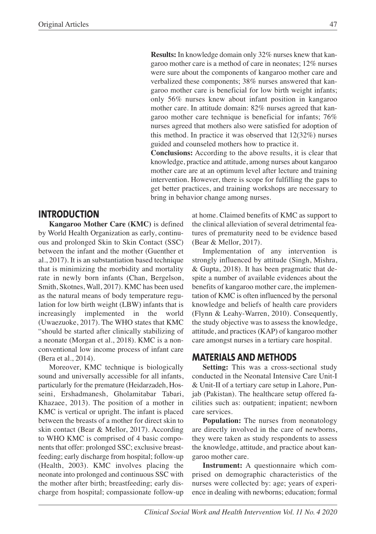**Results:** In knowledge domain only 32% nurses knew that kangaroo mother care is a method of care in neonates; 12% nurses were sure about the components of kangaroo mother care and verbalized these components; 38% nurses answered that kangaroo mother care is beneficial for low birth weight infants; only 56% nurses knew about infant position in kangaroo mother care. In attitude domain: 82% nurses agreed that kangaroo mother care technique is beneficial for infants; 76% nurses agreed that mothers also were satisfied for adoption of this method. In practice it was observed that 12(32%) nurses guided and counseled mothers how to practice it.

 **Conclusions:** According to the above results, it is clear that knowledge, practice and attitude, among nurses about kangaroo mother care are at an optimum level after lecture and training intervention. However, there is scope for fulfilling the gaps to get better practices, and training workshops are necessary to bring in behavior change among nurses.

# **INTRODUCTION**

**Kangaroo Mother Care (KMC)** is defined by World Health Organization as early, continuous and prolonged Skin to Skin Contact (SSC) between the infant and the mother (Guenther et al., 2017). It is an substantiation based technique that is minimizing the morbidity and mortality rate in newly born infants (Chan, Bergelson, Smith, Skotnes, Wall, 2017). KMC has been used as the natural means of body temperature regulation for low birth weight (LBW) infants that is increasingly implemented in the world (Uwaezuoke, 2017). The WHO states that KMC "should be started after clinically stabilizing of a neonate (Morgan et al., 2018). KMC is a nonconventional low income process of infant care (Bera et al., 2014).

Moreover, KMC technique is biologically sound and universally accessible for all infants, particularly for the premature (Heidarzadeh, Hosseini, Ershadmanesh, Gholamitabar Tabari, Khazaee, 2013). The position of a mother in KMC is vertical or upright. The infant is placed between the breasts of a mother for direct skin to skin contact (Bear & Mellor, 2017). According to WHO KMC is comprised of 4 basic components that offer: prolonged SSC; exclusive breastfeeding; early discharge from hospital; follow-up (Health, 2003). KMC involves placing the neonate into prolonged and continuous SSC with the mother after birth; breastfeeding; early discharge from hospital; compassionate follow-up

at home. Claimed benefits of KMC as support to the clinical alleviation of several detrimental features of prematurity need to be evidence based (Bear & Mellor, 2017).

Implementation of any intervention is strongly influenced by attitude (Singh, Mishra, & Gupta, 2018). It has been pragmatic that despite a number of available evidences about the benefits of kangaroo mother care, the implementation of KMC is often influenced by the personal knowledge and beliefs of health care providers (Flynn & Leahy-Warren, 2010). Consequently, the study objective was to assess the knowledge, attitude, and practices (KAP) of kangaroo mother care amongst nurses in a tertiary care hospital.

### **MATERIALS AND METHODS**

**Setting:** This was a cross-sectional study conducted in the Neonatal Intensive Care Unit-I & Unit-II of a tertiary care setup in Lahore, Punjab (Pakistan). The healthcare setup offered facilities such as: outpatient; inpatient; newborn care services.

**Population:** The nurses from neonatology are directly involved in the care of newborns, they were taken as study respondents to assess the knowledge, attitude, and practice about kangaroo mother care.

**Instrument:** A questionnaire which comprised on demographic characteristics of the nurses were collected by: age; years of experience in dealing with newborns; education; formal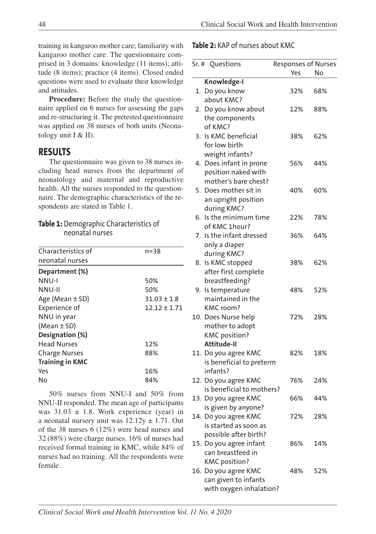training in kangaroo mother care; familiarity with kangaroo mother care. The questionnaire comprised in 3 domains: knowledge (11 items); attitude (8 items); practice (4 items). Closed ended questions were used to evaluate their knowledge and attitudes.

**Procedure:** Before the study the questionnaire applied on 6 nurses for assessing the gaps and re-structuring it. The pretested questionnaire was applied on 38 nurses of both units (Neonatology unit I & II).

# **RESULTS**

The questionnaire was given to 38 nurses including head nurses from the department of neonatology and maternal and reproductive health. All the nurses responded to the questionnaire. The demographic characteristics of the respondents are stated in Table 1.

#### **Table 1:** Demographic Characteristics of neonatal nurses

| Characteristics of     | $n = 38$         |  |
|------------------------|------------------|--|
| neonatal nurses        |                  |  |
| Department (%)         |                  |  |
| NNU-I                  | 50%              |  |
| NNU-II                 | 50%              |  |
| Age (Mean ± SD)        | $31.03 \pm 1.8$  |  |
| Experience of          | $12.12 \pm 1.71$ |  |
| NNU in year            |                  |  |
| $(Mean \pm SD)$        |                  |  |
| Designation (%)        |                  |  |
| <b>Head Nurses</b>     | 12%              |  |
| <b>Charge Nurses</b>   | 88%              |  |
| <b>Training in KMC</b> |                  |  |
| Yes                    | 16%              |  |
| No                     | 84%              |  |

50% nurses from NNU-I and 50% from NNU-II responded. The mean age of participants was  $31.03 \pm 1.8$ . Work experience (year) in a neonatal nursery unit was  $12.12y \pm 1.71$ . Out of the 38 nurses 6 (12%) were head nurses and 32 (88%) were charge nurses. 16% of nurses had received formal training in KMC, while 84% of nurses had no training. All the respondents were female.

**Table 2:** KAP of nurses about KMC

| Sr. # Questions           | Responses of Nurses |     |
|---------------------------|---------------------|-----|
|                           | Yes                 | No  |
| Knowledge-I               |                     |     |
| 1. Do you know            | 32%                 | 68% |
| about KMC?                |                     |     |
| 2. Do you know about      | 12%                 | 88% |
| the components            |                     |     |
| of KMC?                   |                     |     |
| 3. Is KMC beneficial      | 38%                 | 62% |
| for low birth             |                     |     |
| weight infants?           |                     |     |
| 4. Does infant in prone   | 56%                 | 44% |
| position naked with       |                     |     |
| mother's bare chest?      |                     |     |
| 5. Does mother sit in     | 40%                 | 60% |
| an upright position       |                     |     |
| during KMC?               |                     |     |
| 6. Is the minimum time    | 22%                 | 78% |
| of KMC 1hour?             |                     |     |
| 7. Is the infant dressed  | 36%                 | 64% |
| only a diaper             |                     |     |
| during KMC?               |                     |     |
| 8. Is KMC stopped         | 38%                 | 62% |
| after first complete      |                     |     |
| breastfeeding?            |                     |     |
| 9. Is temperature         | 48%                 | 52% |
| maintained in the         |                     |     |
| KMC room?                 |                     |     |
| 10. Does Nurse help       | 72%                 | 28% |
| mother to adopt           |                     |     |
| <b>KMC</b> position?      |                     |     |
| <b>Attitude-II</b>        |                     |     |
| 11. Do you agree KMC      | 82%                 | 18% |
| is beneficial to preterm  |                     |     |
| infants?                  |                     |     |
| 12. Do you agree KMC      | 76%                 | 24% |
| is beneficial to mothers? |                     |     |
| 13. Do you agree KMC      | 66%                 | 44% |
| is given by anyone?       |                     |     |
| 14. Do you agree KMC      | 72%                 | 28% |
| is started as soon as     |                     |     |
| possible after birth?     |                     |     |
| 15. Do you agree infant   | 86%                 | 14% |
| can breastfeed in         |                     |     |
| <b>KMC</b> position?      |                     |     |
| 16. Do you agree KMC      | 48%                 | 52% |
| can given to infants      |                     |     |
| with oxygen inhalation?   |                     |     |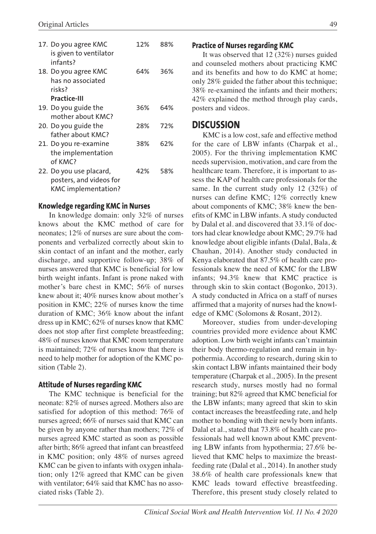| 17. Do you agree KMC<br>is given to ventilator<br>infants?                       | 12% | 88% |
|----------------------------------------------------------------------------------|-----|-----|
| 18. Do you agree KMC<br>has no associated<br>risks?                              | 64% | 36% |
| <b>Practice-III</b>                                                              |     |     |
| 19. Do you guide the<br>mother about KMC?                                        | 36% | 64% |
| 20. Do you guide the<br>father about KMC?                                        | 28% | 72% |
| 21. Do you re-examine<br>the implementation<br>of KMC?                           | 38% | 62% |
| 22. Do you use placard,<br>posters, and videos for<br><b>KMC</b> implementation? | 42% | 58% |

#### **Knowledge regarding KMC in Nurses**

In knowledge domain: only 32% of nurses knows about the KMC method of care for neonates; 12% of nurses are sure about the components and verbalized correctly about skin to skin contact of an infant and the mother, early discharge, and supportive follow-up; 38% of nurses answered that KMC is beneficial for low birth weight infants. Infant is prone naked with mother's bare chest in KMC; 56% of nurses knew about it; 40% nurses know about mother's position in KMC; 22% of nurses know the time duration of KMC; 36% know about the infant dress up in KMC; 62% of nurses know that KMC does not stop after first complete breastfeeding; 48% of nurses know that KMC room temperature is maintained; 72% of nurses know that there is need to help mother for adoption of the KMC position (Table 2).

#### **Attitude of Nurses regarding KMC**

The KMC technique is beneficial for the neonate: 82% of nurses agreed. Mothers also are satisfied for adoption of this method: 76% of nurses agreed; 66% of nurses said that KMC can be given by anyone rather than mothers; 72% of nurses agreed KMC started as soon as possible after birth; 86% agreed that infant can breastfeed in KMC position; only 48% of nurses agreed KMC can be given to infants with oxygen inhalation; only 12% agreed that KMC can be given with ventilator; 64% said that KMC has no associated risks (Table 2).

#### **Practice of Nurses regarding KMC**

It was observed that 12 (32%) nurses guided and counseled mothers about practicing KMC and its benefits and how to do KMC at home; only 28% guided the father about this technique; 38% re-examined the infants and their mothers; 42% explained the method through play cards, posters and videos.

#### **DISCUSSION**

KMC is a low cost, safe and effective method for the care of LBW infants (Charpak et al., 2005). For the thriving implementation KMC needs supervision, motivation, and care from the healthcare team. Therefore, it is important to assess the KAP of health care professionals for the same. In the current study only 12 (32%) of nurses can define KMC; 12% correctly knew about components of KMC; 38% knew the benefits of KMC in LBW infants. A study conducted by Dalal et al. and discovered that 33.1% of doctors had clear knowledge about KMC; 29.7% had knowledge about eligible infants (Dalal, Bala, & Chauhan, 2014). Another study conducted in Kenya elaborated that 87.5% of health care professionals knew the need of KMC for the LBW infants; 94.3% knew that KMC practice is through skin to skin contact (Bogonko, 2013). A study conducted in Africa on a staff of nurses affirmed that a majority of nurses had the knowledge of KMC (Solomons & Rosant, 2012).

Moreover, studies from under-developing countries provided more evidence about KMC adoption. Low birth weight infants can't maintain their body thermo-regulation and remain in hypothermia. According to research, during skin to skin contact LBW infants maintained their body temperature (Charpak et al., 2005). In the present research study, nurses mostly had no formal training; but 82% agreed that KMC beneficial for the LBW infants; many agreed that skin to skin contact increases the breastfeeding rate, and help mother to bonding with their newly born infants. Dalal et al., stated that 73.8% of health care professionals had well known about KMC preventing LBW infants from hypothermia; 27.6% believed that KMC helps to maximize the breastfeeding rate (Dalal et al., 2014). In another study 38.6% of health care professionals knew that KMC leads toward effective breastfeeding. Therefore, this present study closely related to